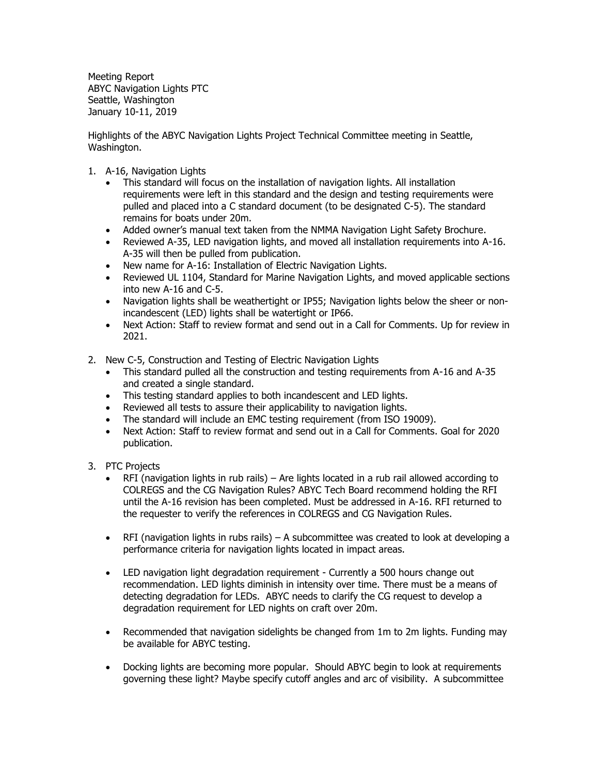Meeting Report ABYC Navigation Lights PTC Seattle, Washington January 10-11, 2019

Highlights of the ABYC Navigation Lights Project Technical Committee meeting in Seattle, Washington.

- 1. A-16, Navigation Lights
	- This standard will focus on the installation of navigation lights. All installation requirements were left in this standard and the design and testing requirements were pulled and placed into a C standard document (to be designated C-5). The standard remains for boats under 20m.
	- Added owner's manual text taken from the NMMA Navigation Light Safety Brochure.
	- Reviewed A-35, LED navigation lights, and moved all installation requirements into A-16. A-35 will then be pulled from publication.
	- New name for A-16: Installation of Electric Navigation Lights.
	- Reviewed UL 1104, Standard for Marine Navigation Lights, and moved applicable sections into new A-16 and C-5.
	- Navigation lights shall be weathertight or IP55; Navigation lights below the sheer or nonincandescent (LED) lights shall be watertight or IP66.
	- Next Action: Staff to review format and send out in a Call for Comments. Up for review in 2021.
- 2. New C-5, Construction and Testing of Electric Navigation Lights
	- This standard pulled all the construction and testing requirements from A-16 and A-35 and created a single standard.
	- This testing standard applies to both incandescent and LED lights.
	- Reviewed all tests to assure their applicability to navigation lights.
	- The standard will include an EMC testing requirement (from ISO 19009).
	- Next Action: Staff to review format and send out in a Call for Comments. Goal for 2020 publication.
- 3. PTC Projects
	- RFI (navigation lights in rub rails) Are lights located in a rub rail allowed according to COLREGS and the CG Navigation Rules? ABYC Tech Board recommend holding the RFI until the A-16 revision has been completed. Must be addressed in A-16. RFI returned to the requester to verify the references in COLREGS and CG Navigation Rules.
	- RFI (navigation lights in rubs rails) A subcommittee was created to look at developing a performance criteria for navigation lights located in impact areas.
	- LED navigation light degradation requirement Currently a 500 hours change out recommendation. LED lights diminish in intensity over time. There must be a means of detecting degradation for LEDs. ABYC needs to clarify the CG request to develop a degradation requirement for LED nights on craft over 20m.
	- Recommended that navigation sidelights be changed from 1m to 2m lights. Funding may be available for ABYC testing.
	- Docking lights are becoming more popular. Should ABYC begin to look at requirements governing these light? Maybe specify cutoff angles and arc of visibility. A subcommittee